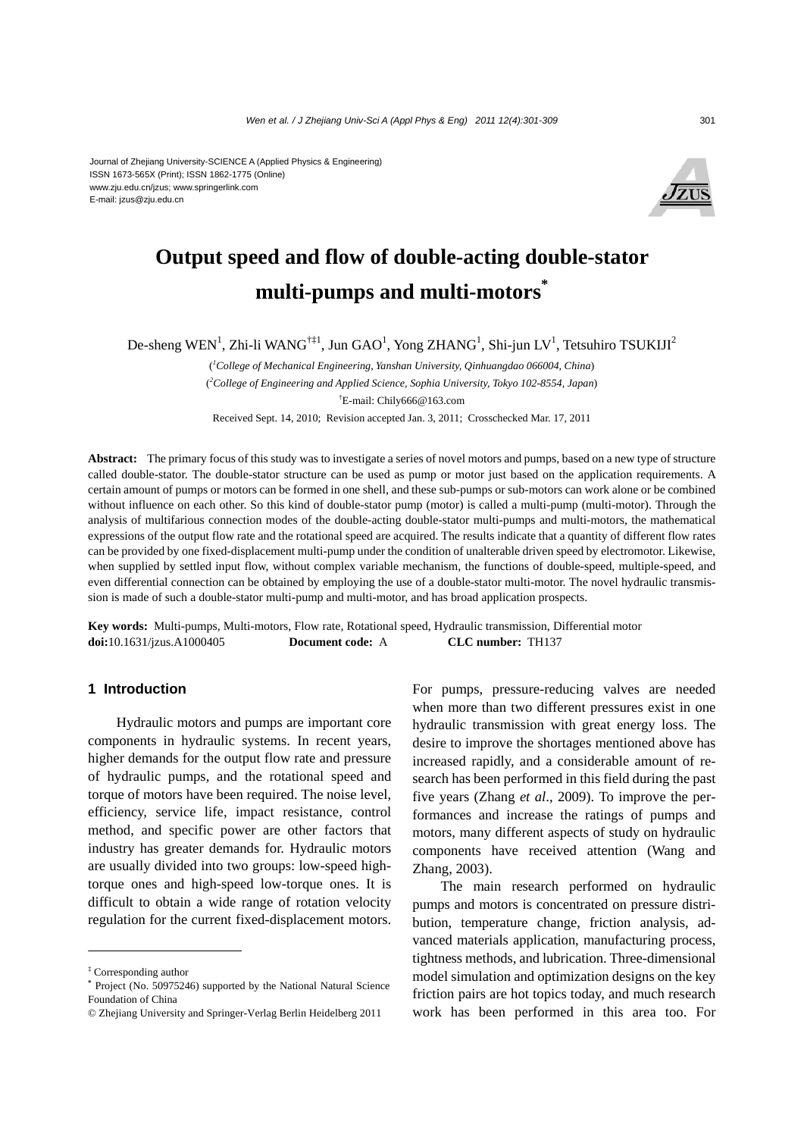

# **Output speed and flow of double-acting double-stator multi-pumps and multi-motors\***

De-sheng WEN<sup>1</sup>, Zhi-li WANG<sup>†‡1</sup>, Jun GAO<sup>1</sup>, Yong ZHANG<sup>1</sup>, Shi-jun LV<sup>1</sup>, Tetsuhiro TSUKIJI<sup>2</sup>

( *1 College of Mechanical Engineering, Yanshan University, Qinhuangdao 066004, China*) ( *2 College of Engineering and Applied Science, Sophia University, Tokyo 102-8554, Japan*) † E-mail: Chily666@163.com Received Sept. 14, 2010; Revision accepted Jan. 3, 2011; Crosschecked Mar. 17, 2011

**Abstract:** The primary focus of this study was to investigate a series of novel motors and pumps, based on a new type of structure called double-stator. The double-stator structure can be used as pump or motor just based on the application requirements. A certain amount of pumps or motors can be formed in one shell, and these sub-pumps or sub-motors can work alone or be combined without influence on each other. So this kind of double-stator pump (motor) is called a multi-pump (multi-motor). Through the analysis of multifarious connection modes of the double-acting double-stator multi-pumps and multi-motors, the mathematical expressions of the output flow rate and the rotational speed are acquired. The results indicate that a quantity of different flow rates can be provided by one fixed-displacement multi-pump under the condition of unalterable driven speed by electromotor. Likewise, when supplied by settled input flow, without complex variable mechanism, the functions of double-speed, multiple-speed, and even differential connection can be obtained by employing the use of a double-stator multi-motor. The novel hydraulic transmission is made of such a double-stator multi-pump and multi-motor, and has broad application prospects.

**Key words:** Multi-pumps, Multi-motors, Flow rate, Rotational speed, Hydraulic transmission, Differential motor **doi:**10.1631/jzus.A1000405 **Document code:** A **CLC number:** TH137

## **1 Introduction**

Hydraulic motors and pumps are important core components in hydraulic systems. In recent years, higher demands for the output flow rate and pressure of hydraulic pumps, and the rotational speed and torque of motors have been required. The noise level, efficiency, service life, impact resistance, control method, and specific power are other factors that industry has greater demands for. Hydraulic motors are usually divided into two groups: low-speed hightorque ones and high-speed low-torque ones. It is difficult to obtain a wide range of rotation velocity regulation for the current fixed-displacement motors.

For pumps, pressure-reducing valves are needed when more than two different pressures exist in one hydraulic transmission with great energy loss. The desire to improve the shortages mentioned above has increased rapidly, and a considerable amount of research has been performed in this field during the past five years (Zhang *et al*., 2009). To improve the performances and increase the ratings of pumps and motors, many different aspects of study on hydraulic components have received attention (Wang and Zhang, 2003).

The main research performed on hydraulic pumps and motors is concentrated on pressure distribution, temperature change, friction analysis, advanced materials application, manufacturing process, tightness methods, and lubrication. Three-dimensional model simulation and optimization designs on the key friction pairs are hot topics today, and much research work has been performed in this area too. For

<sup>‡</sup> Corresponding author

Project (No. 50975246) supported by the National Natural Science Foundation of China

<sup>©</sup> Zhejiang University and Springer-Verlag Berlin Heidelberg 2011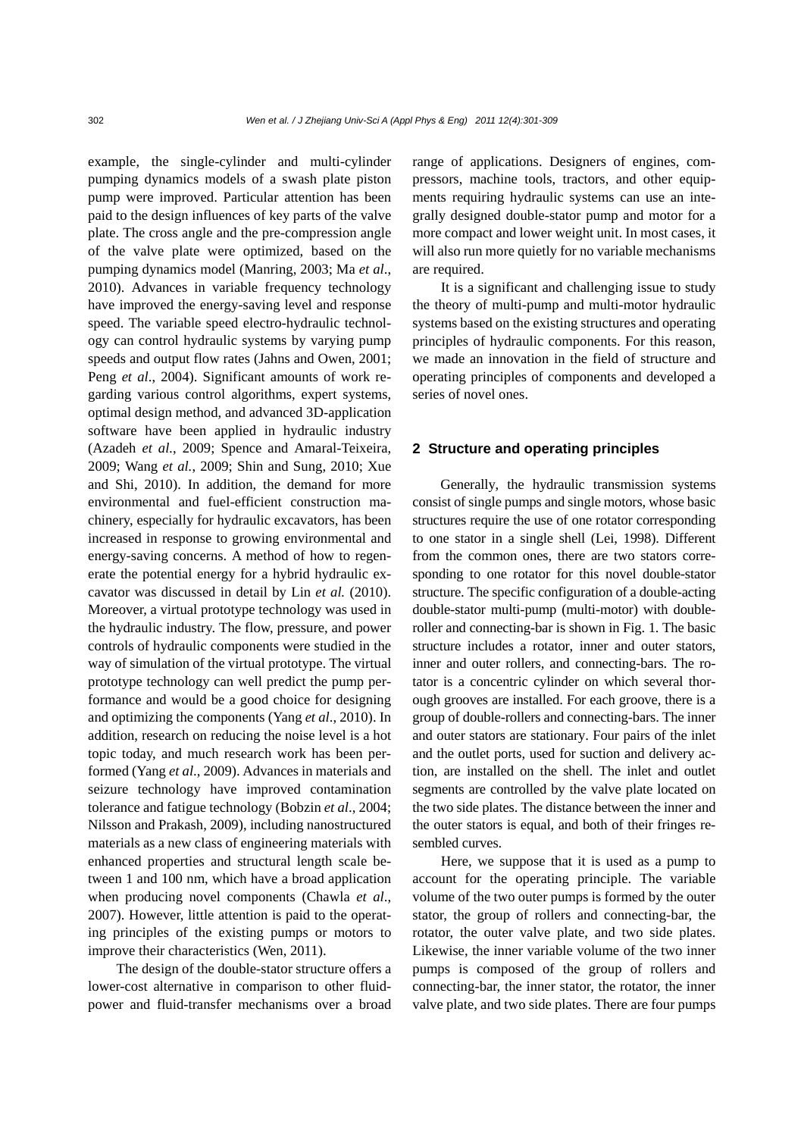example, the single-cylinder and multi-cylinder pumping dynamics models of a swash plate piston pump were improved. Particular attention has been paid to the design influences of key parts of the valve plate. The cross angle and the pre-compression angle of the valve plate were optimized, based on the pumping dynamics model (Manring, 2003; Ma *et al*., 2010). Advances in variable frequency technology have improved the energy-saving level and response speed. The variable speed electro-hydraulic technology can control hydraulic systems by varying pump speeds and output flow rates (Jahns and Owen, 2001; Peng *et al*., 2004). Significant amounts of work regarding various control algorithms, expert systems, optimal design method, and advanced 3D-application software have been applied in hydraulic industry (Azadeh *et al.*, 2009; Spence and Amaral-Teixeira, 2009; Wang *et al.*, 2009; Shin and Sung, 2010; Xue and Shi, 2010). In addition, the demand for more environmental and fuel-efficient construction machinery, especially for hydraulic excavators, has been increased in response to growing environmental and energy-saving concerns. A method of how to regenerate the potential energy for a hybrid hydraulic excavator was discussed in detail by Lin *et al.* (2010). Moreover, a virtual prototype technology was used in the hydraulic industry. The flow, pressure, and power controls of hydraulic components were studied in the way of simulation of the virtual prototype. The virtual prototype technology can well predict the pump performance and would be a good choice for designing and optimizing the components (Yang *et al*., 2010). In addition, research on reducing the noise level is a hot topic today, and much research work has been performed (Yang *et al*., 2009). Advances in materials and seizure technology have improved contamination tolerance and fatigue technology (Bobzin *et al*., 2004; Nilsson and Prakash, 2009), including nanostructured materials as a new class of engineering materials with enhanced properties and structural length scale between 1 and 100 nm, which have a broad application when producing novel components (Chawla *et al*., 2007). However, little attention is paid to the operating principles of the existing pumps or motors to improve their characteristics (Wen, 2011).

The design of the double-stator structure offers a lower-cost alternative in comparison to other fluidpower and fluid-transfer mechanisms over a broad range of applications. Designers of engines, compressors, machine tools, tractors, and other equipments requiring hydraulic systems can use an integrally designed double-stator pump and motor for a more compact and lower weight unit. In most cases, it will also run more quietly for no variable mechanisms are required.

It is a significant and challenging issue to study the theory of multi-pump and multi-motor hydraulic systems based on the existing structures and operating principles of hydraulic components. For this reason, we made an innovation in the field of structure and operating principles of components and developed a series of novel ones.

## **2 Structure and operating principles**

Generally, the hydraulic transmission systems consist of single pumps and single motors, whose basic structures require the use of one rotator corresponding to one stator in a single shell (Lei, 1998). Different from the common ones, there are two stators corresponding to one rotator for this novel double-stator structure. The specific configuration of a double-acting double-stator multi-pump (multi-motor) with doubleroller and connecting-bar is shown in Fig. 1. The basic structure includes a rotator, inner and outer stators, inner and outer rollers, and connecting-bars. The rotator is a concentric cylinder on which several thorough grooves are installed. For each groove, there is a group of double-rollers and connecting-bars. The inner and outer stators are stationary. Four pairs of the inlet and the outlet ports, used for suction and delivery action, are installed on the shell. The inlet and outlet segments are controlled by the valve plate located on the two side plates. The distance between the inner and the outer stators is equal, and both of their fringes resembled curves.

Here, we suppose that it is used as a pump to account for the operating principle. The variable volume of the two outer pumps is formed by the outer stator, the group of rollers and connecting-bar, the rotator, the outer valve plate, and two side plates. Likewise, the inner variable volume of the two inner pumps is composed of the group of rollers and connecting-bar, the inner stator, the rotator, the inner valve plate, and two side plates. There are four pumps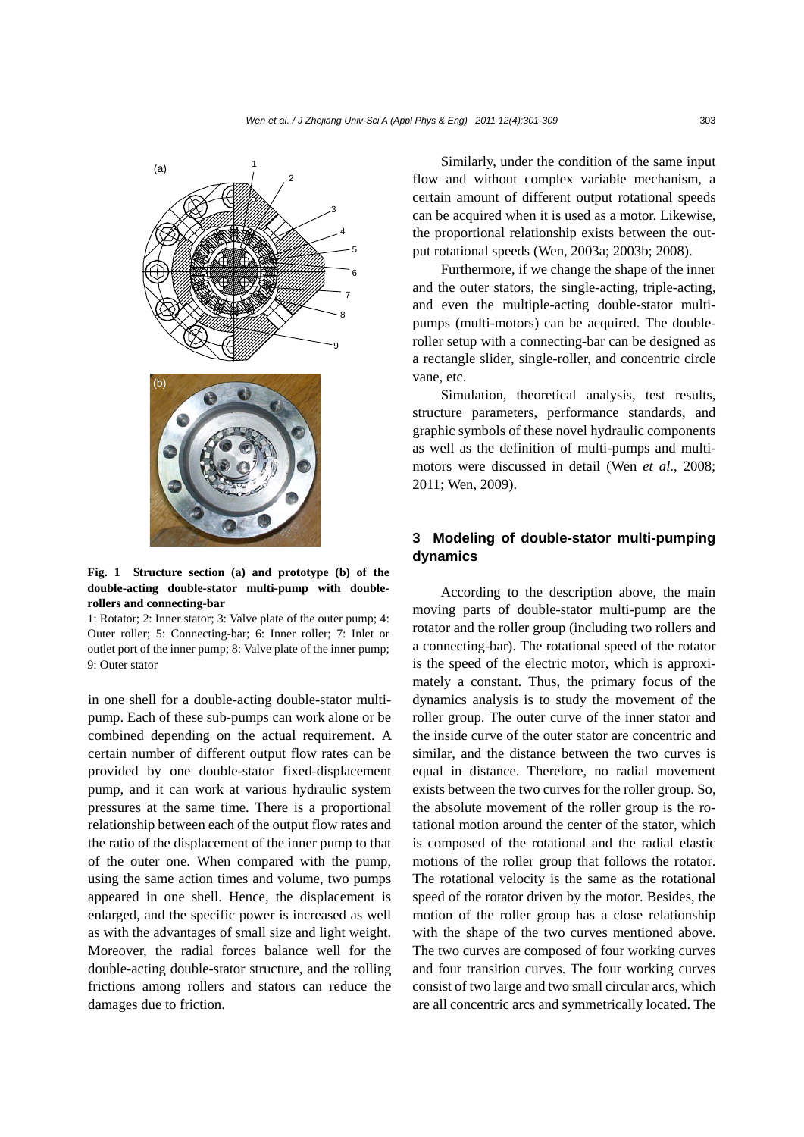

**Fig. 1 Structure section (a) and prototype (b) of the double-acting double-stator multi-pump with doublerollers and connecting-bar** 

1: Rotator; 2: Inner stator; 3: Valve plate of the outer pump; 4: Outer roller; 5: Connecting-bar; 6: Inner roller; 7: Inlet or outlet port of the inner pump; 8: Valve plate of the inner pump; 9: Outer stator

in one shell for a double-acting double-stator multipump. Each of these sub-pumps can work alone or be combined depending on the actual requirement. A certain number of different output flow rates can be provided by one double-stator fixed-displacement pump, and it can work at various hydraulic system pressures at the same time. There is a proportional relationship between each of the output flow rates and the ratio of the displacement of the inner pump to that of the outer one. When compared with the pump, using the same action times and volume, two pumps appeared in one shell. Hence, the displacement is enlarged, and the specific power is increased as well as with the advantages of small size and light weight. Moreover, the radial forces balance well for the double-acting double-stator structure, and the rolling frictions among rollers and stators can reduce the damages due to friction.

Similarly, under the condition of the same input flow and without complex variable mechanism, a certain amount of different output rotational speeds can be acquired when it is used as a motor. Likewise, the proportional relationship exists between the output rotational speeds (Wen, 2003a; 2003b; 2008).

Furthermore, if we change the shape of the inner and the outer stators, the single-acting, triple-acting, and even the multiple-acting double-stator multipumps (multi-motors) can be acquired. The doubleroller setup with a connecting-bar can be designed as a rectangle slider, single-roller, and concentric circle vane, etc.

Simulation, theoretical analysis, test results, structure parameters, performance standards, and graphic symbols of these novel hydraulic components as well as the definition of multi-pumps and multimotors were discussed in detail (Wen *et al*., 2008; 2011; Wen, 2009).

# **3 Modeling of double-stator multi-pumping dynamics**

According to the description above, the main moving parts of double-stator multi-pump are the rotator and the roller group (including two rollers and a connecting-bar). The rotational speed of the rotator is the speed of the electric motor, which is approximately a constant. Thus, the primary focus of the dynamics analysis is to study the movement of the roller group. The outer curve of the inner stator and the inside curve of the outer stator are concentric and similar, and the distance between the two curves is equal in distance. Therefore, no radial movement exists between the two curves for the roller group. So, the absolute movement of the roller group is the rotational motion around the center of the stator, which is composed of the rotational and the radial elastic motions of the roller group that follows the rotator. The rotational velocity is the same as the rotational speed of the rotator driven by the motor. Besides, the motion of the roller group has a close relationship with the shape of the two curves mentioned above. The two curves are composed of four working curves and four transition curves. The four working curves consist of two large and two small circular arcs, which are all concentric arcs and symmetrically located. The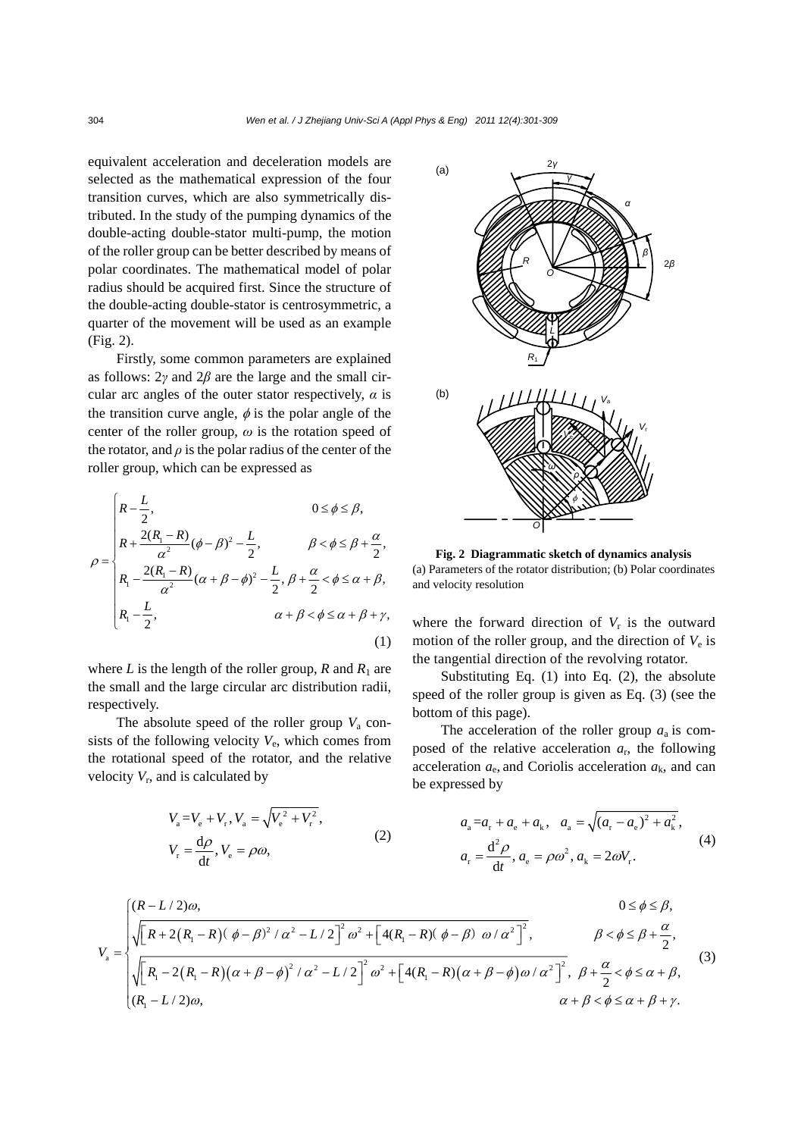equivalent acceleration and deceleration models are selected as the mathematical expression of the four transition curves, which are also symmetrically distributed. In the study of the pumping dynamics of the double-acting double-stator multi-pump, the motion of the roller group can be better described by means of polar coordinates. The mathematical model of polar radius should be acquired first. Since the structure of the double-acting double-stator is centrosymmetric, a quarter of the movement will be used as an example (Fig. 2).

Firstly, some common parameters are explained as follows: 2*γ* and 2*β* are the large and the small circular arc angles of the outer stator respectively,  $\alpha$  is the transition curve angle,  $\phi$  is the polar angle of the center of the roller group, *ω* is the rotation speed of the rotator, and  $\rho$  is the polar radius of the center of the roller group, which can be expressed as

$$
\rho = \begin{cases}\nR - \frac{L}{2}, & 0 \le \phi \le \beta, \\
R + \frac{2(R_1 - R)}{\alpha^2} (\phi - \beta)^2 - \frac{L}{2}, & \beta < \phi \le \beta + \frac{\alpha}{2}, \\
R_1 - \frac{2(R_1 - R)}{\alpha^2} (\alpha + \beta - \phi)^2 - \frac{L}{2}, \beta + \frac{\alpha}{2} < \phi \le \alpha + \beta, \\
R_1 - \frac{L}{2}, & \alpha + \beta < \phi \le \alpha + \beta + \gamma,\n\end{cases}
$$
\n(1)

where  $L$  is the length of the roller group,  $R$  and  $R_1$  are the small and the large circular arc distribution radii, respectively.

The absolute speed of the roller group  $V_a$  consists of the following velocity  $V_e$ , which comes from the rotational speed of the rotator, and the relative velocity  $V_r$ , and is calculated by

$$
V_{\rm a} = V_{\rm e} + V_{\rm r}, V_{\rm a} = \sqrt{V_{\rm e}^2 + V_{\rm r}^2},
$$
  
\n
$$
V_{\rm r} = \frac{d\rho}{dt}, V_{\rm e} = \rho\omega,
$$
\n(2)



**Fig. 2 Diagrammatic sketch of dynamics analysis**  (a) Parameters of the rotator distribution; (b) Polar coordinates and velocity resolution

where the forward direction of  $V_r$  is the outward motion of the roller group, and the direction of  $V_e$  is the tangential direction of the revolving rotator.

Substituting Eq. (1) into Eq. (2), the absolute speed of the roller group is given as Eq. (3) (see the bottom of this page).

The acceleration of the roller group  $a_a$  is composed of the relative acceleration  $a_r$ , the following acceleration  $a_e$ , and Coriolis acceleration  $a_k$ , and can be expressed by

$$
a_{a} = a_{r} + a_{e} + a_{k}, \quad a_{a} = \sqrt{(a_{r} - a_{e})^{2} + a_{k}^{2}},
$$
  
\n
$$
a_{r} = \frac{d^{2} \rho}{dt}, a_{e} = \rho \omega^{2}, a_{k} = 2\omega V_{r}.
$$
\n(4)

$$
V_{\rm a} = \begin{cases} (R - L/2)\omega, & 0 \le \phi \le \beta, \\ \sqrt{\left[R + 2\left(R_{\rm 1} - R\right)\left(\phi - \beta\right)^2 / \alpha^2 - L/2\right]^2} \omega^2 + \left[4\left(R_{\rm 1} - R\right)\left(\phi - \beta\right) \omega / \alpha^2\right]^2, & \beta < \phi \le \beta + \frac{\alpha}{2}, \\ \sqrt{\left[R_{\rm 1} - 2\left(R_{\rm 1} - R\right)\left(\alpha + \beta - \phi\right)^2 / \alpha^2 - L/2\right]^2} \omega^2 + \left[4\left(R_{\rm 1} - R\right)\left(\alpha + \beta - \phi\right)\omega / \alpha^2\right]^2, & \beta + \frac{\alpha}{2} < \phi \le \alpha + \beta, \\ (R_{\rm 1} - L/2)\omega, & \alpha + \beta < \phi \le \alpha + \beta + \gamma. \end{cases} \tag{3}
$$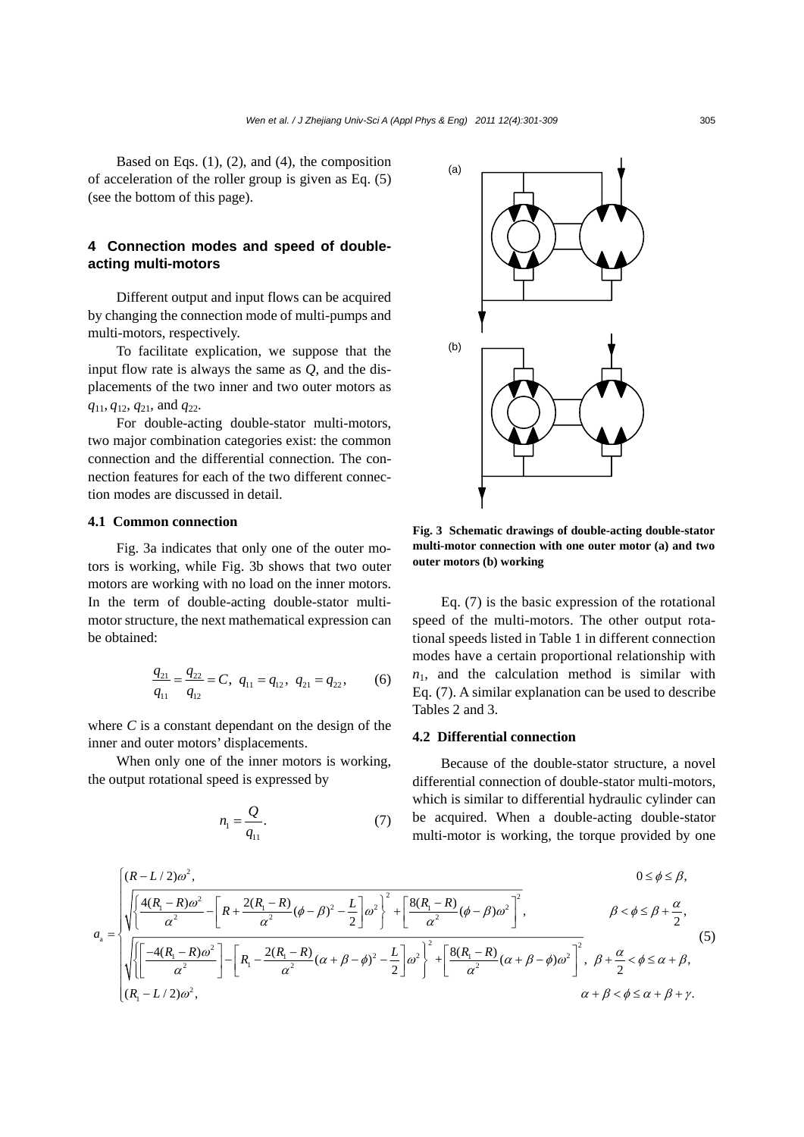Based on Eqs.  $(1)$ ,  $(2)$ , and  $(4)$ , the composition of acceleration of the roller group is given as Eq. (5) (see the bottom of this page).

# **4 Connection modes and speed of doubleacting multi-motors**

Different output and input flows can be acquired by changing the connection mode of multi-pumps and multi-motors, respectively.

To facilitate explication, we suppose that the input flow rate is always the same as *Q*, and the displacements of the two inner and two outer motors as *q*11, *q*12, *q*21, and *q*22.

For double-acting double-stator multi-motors, two major combination categories exist: the common connection and the differential connection. The connection features for each of the two different connection modes are discussed in detail.

### **4.1 Common connection**

Fig. 3a indicates that only one of the outer motors is working, while Fig. 3b shows that two outer motors are working with no load on the inner motors. In the term of double-acting double-stator multimotor structure, the next mathematical expression can be obtained:

$$
\frac{q_{21}}{q_{11}} = \frac{q_{22}}{q_{12}} = C, \ \ q_{11} = q_{12}, \ \ q_{21} = q_{22}, \tag{6}
$$

where  $C$  is a constant dependant on the design of the inner and outer motors' displacements.

When only one of the inner motors is working, the output rotational speed is expressed by

$$
n_1 = \frac{Q}{q_{11}}.\tag{7}
$$



**Fig. 3 Schematic drawings of double-acting double-stator multi-motor connection with one outer motor (a) and two outer motors (b) working**

Eq. (7) is the basic expression of the rotational speed of the multi-motors. The other output rotational speeds listed in Table 1 in different connection modes have a certain proportional relationship with  $n_1$ , and the calculation method is similar with Eq. (7). A similar explanation can be used to describe Tables 2 and 3.

## **4.2 Differential connection**

Because of the double-stator structure, a novel differential connection of double-stator multi-motors, which is similar to differential hydraulic cylinder can be acquired. When a double-acting double-stator multi-motor is working, the torque provided by one

$$
a_{\rm a} = \sqrt{\sqrt{\left(\frac{4(R_{\rm l} - R)\omega^2}{\alpha^2} - \left[R + \frac{2(R_{\rm l} - R)}{\alpha^2}(\phi - \beta)^2 - \frac{L}{2}\right]\omega^2\right)^2 + \left[\frac{8(R_{\rm l} - R)}{\alpha^2}(\phi - \beta)\omega^2\right]^2}, \qquad \beta < \phi \le \beta + \frac{\alpha}{2},
$$
\n
$$
a_{\rm a} = \sqrt{\sqrt{\left(\frac{-4(R_{\rm l} - R)\omega^2}{\alpha^2}\right) - \left[R_{\rm l} - \frac{2(R_{\rm l} - R)}{\alpha^2}(\alpha + \beta - \phi)^2 - \frac{L}{2}\right]\omega^2\right)^2 + \left[\frac{8(R_{\rm l} - R)}{\alpha^2}(\alpha + \beta - \phi)\omega^2\right]^2}, \quad \beta + \frac{\alpha}{2} < \phi \le \alpha + \beta, \tag{5}
$$
\n
$$
\frac{a}{(R_{\rm l} - L/2)\omega^2}, \qquad \alpha + \beta < \phi \le \alpha + \beta + \gamma.
$$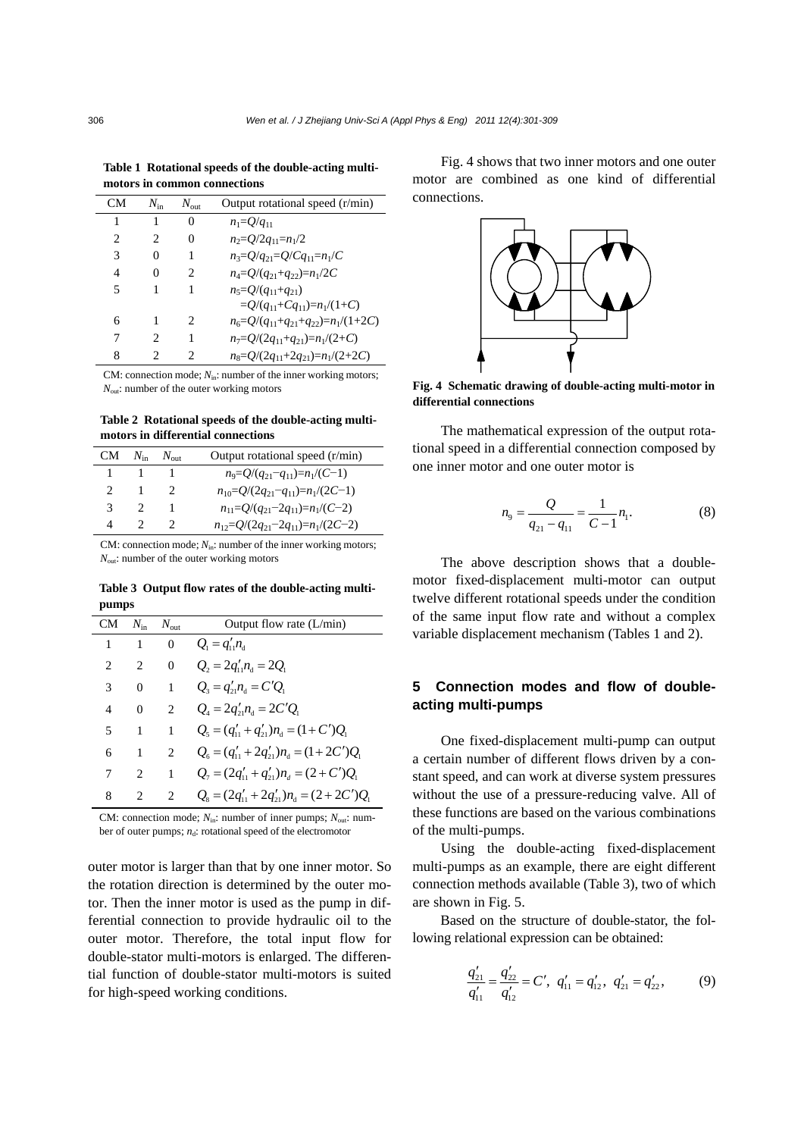|                              | Table 1 Rotational speeds of the double-acting multi- |  |
|------------------------------|-------------------------------------------------------|--|
| motors in common connections |                                                       |  |

| CМ                            | $N_{\rm in}$ | $N_{\text{out}}$            | Output rotational speed (r/min)                   |
|-------------------------------|--------------|-----------------------------|---------------------------------------------------|
| 1                             |              | 0                           | $n_1 = Q/q_{11}$                                  |
| $\mathfrak{D}_{\mathfrak{p}}$ | 2            | 0                           | $n_2 = Q/2q_{11} = n_1/2$                         |
| 3                             | $\theta$     | 1                           | $n_3 = Q/q_{21} = Q/Cq_{11} = n_1/C$              |
| 4                             | 0            | 2                           | $n_4 = Q/(q_{21} + q_{22}) = n_1/2C$              |
| 5                             |              | 1                           | $n_5 = O/(q_{11} + q_{21})$                       |
|                               |              |                             | $=O/(q_{11}+Cq_{11})=n_1/(1+C)$                   |
| 6                             |              | $\mathcal{D}_{\mathcal{L}}$ | $n_6 = Q/(q_{11} + q_{21} + q_{22}) = n_1/(1+2C)$ |
|                               | 2            | 1                           | $n_7=Q/(2q_{11}+q_{21})=n_1/(2+C)$                |
| 8                             |              | っ                           | $n_8 = Q/(2q_{11} + 2q_{21}) = n_1/(2+2C)$        |

CM: connection mode;  $N_{\text{in}}$ : number of the inner working motors; *N*<sub>out</sub>: number of the outer working motors

**Table 2 Rotational speeds of the double-acting multimotors in differential connections** 

| CM.           | $N_{\rm in}$ $N_{\rm out}$ | Output rotational speed (r/min)              |
|---------------|----------------------------|----------------------------------------------|
|               |                            | $n_9 = Q/(q_{21} - q_{11}) = n_1/(C-1)$      |
| $\mathcal{L}$ |                            | $n_{10} = Q/(2q_{21} - q_{11}) = n_1/(2C-1)$ |
| 3             |                            | $n_{11}=Q/(q_{21}-2q_{11})=n_1/(C-2)$        |
| Δ             |                            | $n_{12}=Q/(2q_{21}-2q_{11})=n_1/(2C-2)$      |

CM: connection mode;  $N_{\text{in}}$ : number of the inner working motors; *N*<sub>out</sub>: number of the outer working motors

**Table 3 Output flow rates of the double-acting multipumps** 

| CМ | $N_{\rm in}$   | $N_{\rm out}$                 | Output flow rate $(L/min)$                                                    |
|----|----------------|-------------------------------|-------------------------------------------------------------------------------|
| 1  | -1             | $\Omega$                      | $Q_{\rm a} = q_{\rm b}^{\prime} n_{\rm a}$                                    |
| 2  | 2              | $\theta$                      | $Q_2 = 2q'_{11}n_a = 2Q_1$                                                    |
| 3  | $\Omega$       | 1                             | $Q_3 = q'_{21} n_4 = C'Q_1$                                                   |
| 4  | $\theta$       | $\mathfrak{D}_{\mathfrak{p}}$ | $Q_4 = 2q'_2 n_4 = 2C'Q_1$                                                    |
| 5  | 1              | 1                             | $Q_5 = (q'_{11} + q'_{21})n_a = (1 + C')Q_1$                                  |
| 6  | 1              | $\mathfrak{D}$                | $Q_6 = (q'_{11} + 2q'_{21})n_a = (1 + 2C')Q_1$                                |
| 7  | $\mathfrak{D}$ | 1                             | $Q_1 = (2q'_{11} + q'_{21})n_{4} = (2 + C')Q_1$                               |
| 8  |                | $\mathfrak{D}_{\mathfrak{p}}$ | $Q_{s} = (2q_{11}^{\prime} + 2q_{21}^{\prime})n_{d} = (2 + 2C^{\prime})Q_{1}$ |

CM: connection mode;  $N_{\text{in}}$ : number of inner pumps;  $N_{\text{out}}$ : number of outer pumps;  $n_d$ : rotational speed of the electromotor

outer motor is larger than that by one inner motor. So the rotation direction is determined by the outer motor. Then the inner motor is used as the pump in differential connection to provide hydraulic oil to the outer motor. Therefore, the total input flow for double-stator multi-motors is enlarged. The differential function of double-stator multi-motors is suited for high-speed working conditions.

Fig. 4 shows that two inner motors and one outer motor are combined as one kind of differential connections.



**Fig. 4 Schematic drawing of double-acting multi-motor in differential connections**

The mathematical expression of the output rotational speed in a differential connection composed by one inner motor and one outer motor is

$$
n_9 = \frac{Q}{q_{21} - q_{11}} = \frac{1}{C - 1} n_1.
$$
 (8)

The above description shows that a doublemotor fixed-displacement multi-motor can output twelve different rotational speeds under the condition of the same input flow rate and without a complex variable displacement mechanism (Tables 1 and 2).

# **5 Connection modes and flow of doubleacting multi-pumps**

One fixed-displacement multi-pump can output a certain number of different flows driven by a constant speed, and can work at diverse system pressures without the use of a pressure-reducing valve. All of these functions are based on the various combinations of the multi-pumps.

Using the double-acting fixed-displacement multi-pumps as an example, there are eight different connection methods available (Table 3), two of which are shown in Fig. 5.

Based on the structure of double-stator, the following relational expression can be obtained:

$$
\frac{q'_{21}}{q'_{11}} = \frac{q'_{22}}{q'_{12}} = C', \quad q'_{11} = q'_{12}, \quad q'_{21} = q'_{22}, \tag{9}
$$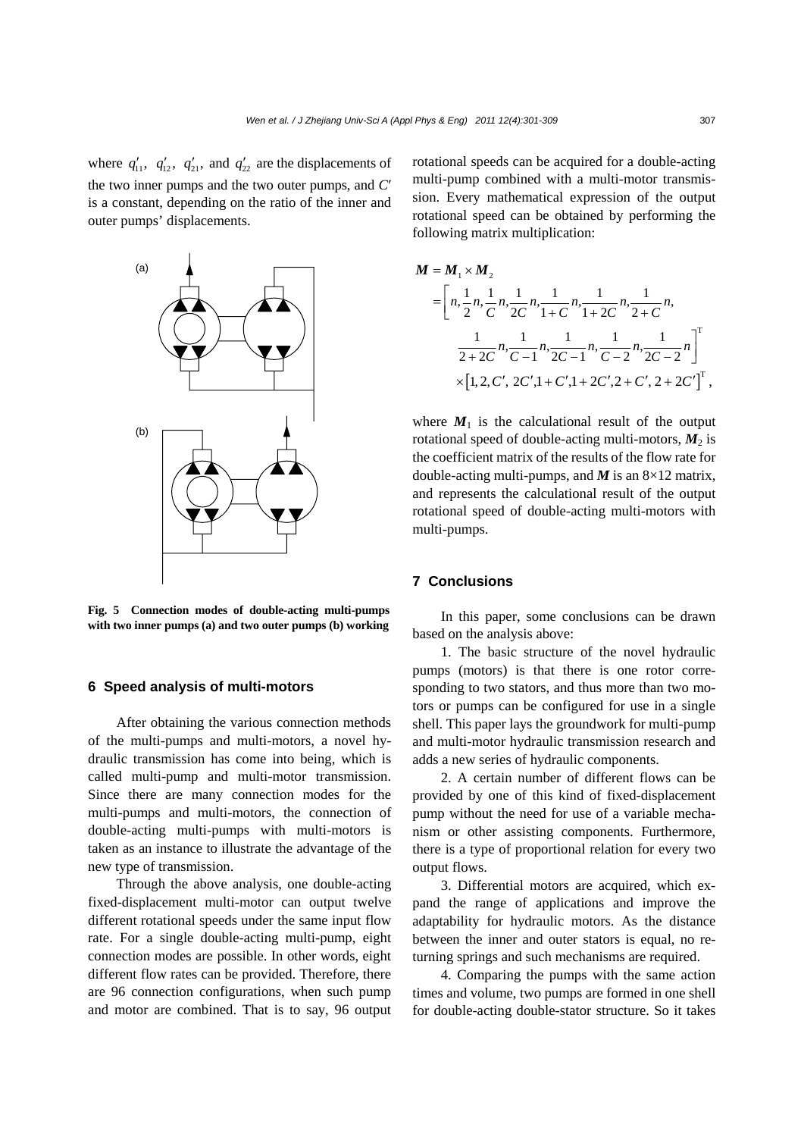where  $q'_{11}$ ,  $q'_{12}$ ,  $q'_{21}$ , and  $q'_{22}$  are the displacements of the two inner pumps and the two outer pumps, and *C*′ is a constant, depending on the ratio of the inner and outer pumps' displacements.



**Fig. 5 Connection modes of double-acting multi-pumps with two inner pumps (a) and two outer pumps (b) working**

## **6 Speed analysis of multi-motors**

After obtaining the various connection methods of the multi-pumps and multi-motors, a novel hydraulic transmission has come into being, which is called multi-pump and multi-motor transmission. Since there are many connection modes for the multi-pumps and multi-motors, the connection of double-acting multi-pumps with multi-motors is taken as an instance to illustrate the advantage of the new type of transmission.

Through the above analysis, one double-acting fixed-displacement multi-motor can output twelve different rotational speeds under the same input flow rate. For a single double-acting multi-pump, eight connection modes are possible. In other words, eight different flow rates can be provided. Therefore, there are 96 connection configurations, when such pump and motor are combined. That is to say, 96 output

rotational speeds can be acquired for a double-acting multi-pump combined with a multi-motor transmission. Every mathematical expression of the output rotational speed can be obtained by performing the following matrix multiplication:

$$
M = M_1 \times M_2
$$
  
=  $\left[ n, \frac{1}{2}n, \frac{1}{C}n, \frac{1}{2C}n, \frac{1}{1+C}n, \frac{1}{1+2C}n, \frac{1}{2+C}n, \frac{1}{2+2C}n, \frac{1}{2+2C}n, \frac{1}{C-1}n, \frac{1}{2C-1}n, \frac{1}{C-2}n, \frac{1}{2C-2}n \right]^T$   
 $\times [1, 2, C', 2C', 1+C', 1+2C', 2+C', 2+2C']^T,$ 

where  $M_1$  is the calculational result of the output rotational speed of double-acting multi-motors,  $M_2$  is the coefficient matrix of the results of the flow rate for double-acting multi-pumps, and  $M$  is an  $8 \times 12$  matrix, and represents the calculational result of the output rotational speed of double-acting multi-motors with multi-pumps.

## **7 Conclusions**

In this paper, some conclusions can be drawn based on the analysis above:

1. The basic structure of the novel hydraulic pumps (motors) is that there is one rotor corresponding to two stators, and thus more than two motors or pumps can be configured for use in a single shell. This paper lays the groundwork for multi-pump and multi-motor hydraulic transmission research and adds a new series of hydraulic components.

2. A certain number of different flows can be provided by one of this kind of fixed-displacement pump without the need for use of a variable mechanism or other assisting components. Furthermore, there is a type of proportional relation for every two output flows.

3. Differential motors are acquired, which expand the range of applications and improve the adaptability for hydraulic motors. As the distance between the inner and outer stators is equal, no returning springs and such mechanisms are required.

4. Comparing the pumps with the same action times and volume, two pumps are formed in one shell for double-acting double-stator structure. So it takes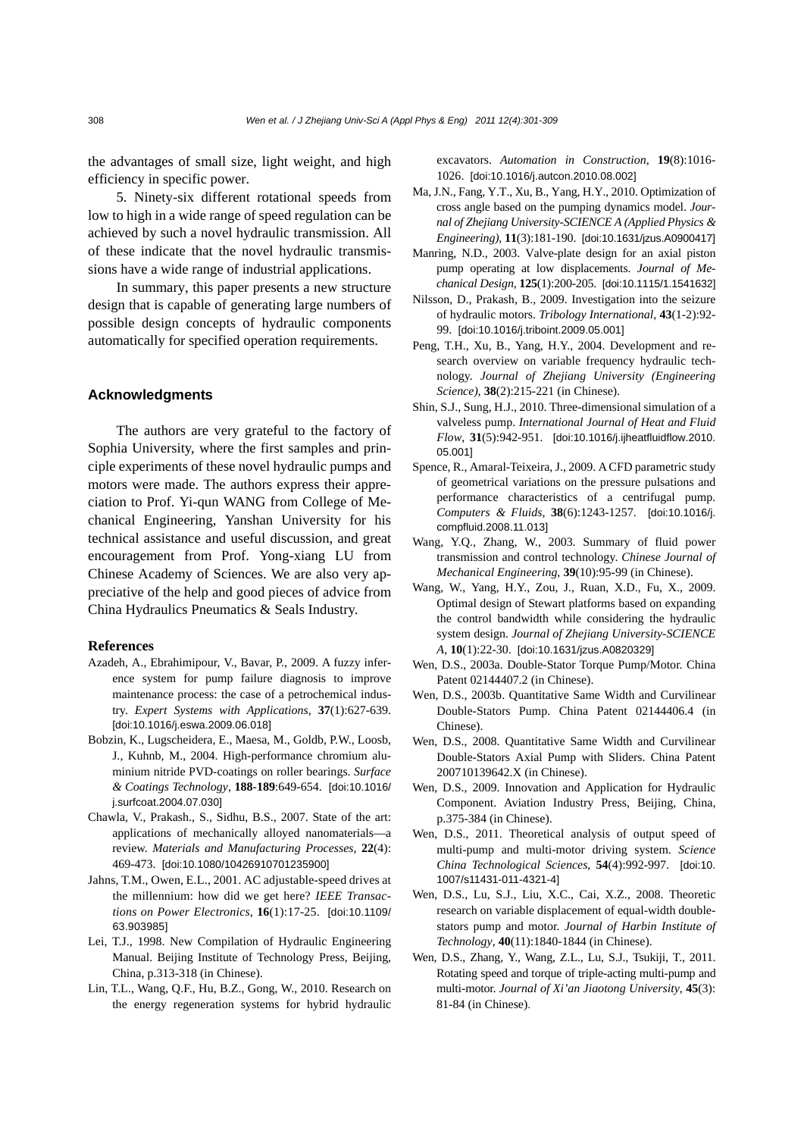the advantages of small size, light weight, and high efficiency in specific power.

5. Ninety-six different rotational speeds from low to high in a wide range of speed regulation can be achieved by such a novel hydraulic transmission. All of these indicate that the novel hydraulic transmissions have a wide range of industrial applications.

In summary, this paper presents a new structure design that is capable of generating large numbers of possible design concepts of hydraulic components automatically for specified operation requirements.

## **Acknowledgments**

The authors are very grateful to the factory of Sophia University, where the first samples and principle experiments of these novel hydraulic pumps and motors were made. The authors express their appreciation to Prof. Yi-qun WANG from College of Mechanical Engineering, Yanshan University for his technical assistance and useful discussion, and great encouragement from Prof. Yong-xiang LU from Chinese Academy of Sciences. We are also very appreciative of the help and good pieces of advice from China Hydraulics Pneumatics & Seals Industry.

#### **References**

- Azadeh, A., Ebrahimipour, V., Bavar, P., 2009. A fuzzy inference system for pump failure diagnosis to improve maintenance process: the case of a petrochemical industry. *Expert Systems with Applications*, **37**(1):627-639. [doi:10.1016/j.eswa.2009.06.018]
- Bobzin, K., Lugscheidera, E., Maesa, M., Goldb, P.W., Loosb, J., Kuhnb, M., 2004. High-performance chromium aluminium nitride PVD-coatings on roller bearings. *Surface & Coatings Technology*, **188**-**189**:649-654. [doi:10.1016/ j.surfcoat.2004.07.030]
- Chawla, V., Prakash., S., Sidhu, B.S., 2007. State of the art: applications of mechanically alloyed nanomaterials—a review. *Materials and Manufacturing Processes*, **22**(4): 469-473. [doi:10.1080/10426910701235900]
- Jahns, T.M., Owen, E.L., 2001. AC adjustable-speed drives at the millennium: how did we get here? *IEEE Transactions on Power Electronics*, **16**(1):17-25. [doi:10.1109/ 63.903985]
- Lei, T.J., 1998. New Compilation of Hydraulic Engineering Manual. Beijing Institute of Technology Press, Beijing, China, p.313-318 (in Chinese).
- Lin, T.L., Wang, Q.F., Hu, B.Z., Gong, W., 2010. Research on the energy regeneration systems for hybrid hydraulic

excavators. *Automation in Construction*, **19**(8):1016- 1026. [doi:10.1016/j.autcon.2010.08.002]

- Ma, J.N., Fang, Y.T., Xu, B., Yang, H.Y., 2010. Optimization of cross angle based on the pumping dynamics model. *Journal of Zhejiang University-SCIENCE A (Applied Physics & Engineering)*, **11**(3):181-190. [doi:10.1631/jzus.A0900417]
- Manring, N.D., 2003. Valve-plate design for an axial piston pump operating at low displacements. *Journal of Mechanical Design*, **125**(1):200-205. [doi:10.1115/1.1541632]
- Nilsson, D., Prakash, B., 2009. Investigation into the seizure of hydraulic motors. *Tribology International*, **43**(1-2):92- 99. [doi:10.1016/j.triboint.2009.05.001]
- Peng, T.H., Xu, B., Yang, H.Y., 2004. Development and research overview on variable frequency hydraulic technology. *Journal of Zhejiang University (Engineering Science)*, **38**(2):215-221 (in Chinese).
- Shin, S.J., Sung, H.J., 2010. Three-dimensional simulation of a valveless pump. *International Journal of Heat and Fluid Flow*, **31**(5):942-951. [doi:10.1016/j.ijheatfluidflow.2010. 05.001]
- Spence, R., Amaral-Teixeira, J., 2009. A CFD parametric study of geometrical variations on the pressure pulsations and performance characteristics of a centrifugal pump. *Computers & Fluids*, **38**(6):1243-1257. [doi:10.1016/j. compfluid.2008.11.013]
- Wang, Y.Q., Zhang, W., 2003. Summary of fluid power transmission and control technology. *Chinese Journal of Mechanical Engineering*, **39**(10):95-99 (in Chinese).
- Wang, W., Yang, H.Y., Zou, J., Ruan, X.D., Fu, X., 2009. Optimal design of Stewart platforms based on expanding the control bandwidth while considering the hydraulic system design. *Journal of Zhejiang University-SCIENCE A*, **10**(1):22-30. [doi:10.1631/jzus.A0820329]
- Wen, D.S., 2003a. Double-Stator Torque Pump/Motor. China Patent 02144407.2 (in Chinese).
- Wen, D.S., 2003b. Quantitative Same Width and Curvilinear Double-Stators Pump. China Patent 02144406.4 (in Chinese).
- Wen, D.S., 2008. Quantitative Same Width and Curvilinear Double-Stators Axial Pump with Sliders. China Patent 200710139642.X (in Chinese).
- Wen, D.S., 2009. Innovation and Application for Hydraulic Component. Aviation Industry Press, Beijing, China, p.375-384 (in Chinese).
- Wen, D.S., 2011. Theoretical analysis of output speed of multi-pump and multi-motor driving system. *Science China Technological Sciences*, **54**(4):992-997. [doi:10. 1007/s11431-011-4321-4]
- Wen, D.S., Lu, S.J., Liu, X.C., Cai, X.Z., 2008. Theoretic research on variable displacement of equal-width doublestators pump and motor. *Journal of Harbin Institute of Technology*, **40**(11):1840-1844 (in Chinese).
- Wen, D.S., Zhang, Y., Wang, Z.L., Lu, S.J., Tsukiji, T., 2011. Rotating speed and torque of triple-acting multi-pump and multi-motor. *Journal of Xi'an Jiaotong University*, **45**(3): 81-84 (in Chinese).